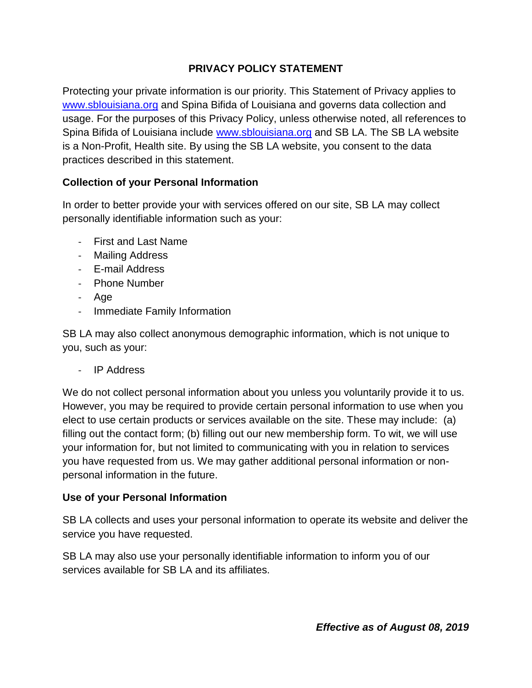## **PRIVACY POLICY STATEMENT**

Protecting your private information is our priority. This Statement of Privacy applies to [www.sblouisiana.org](http://www.sblouisiana.org/) and Spina Bifida of Louisiana and governs data collection and usage. For the purposes of this Privacy Policy, unless otherwise noted, all references to Spina Bifida of Louisiana include [www.sblouisiana.org](http://www.sblouisiana.org/) and SB LA. The SB LA website is a Non-Profit, Health site. By using the SB LA website, you consent to the data practices described in this statement.

### **Collection of your Personal Information**

In order to better provide your with services offered on our site, SB LA may collect personally identifiable information such as your:

- First and Last Name
- Mailing Address
- E-mail Address
- Phone Number
- Age
- Immediate Family Information

SB LA may also collect anonymous demographic information, which is not unique to you, such as your:

- IP Address

We do not collect personal information about you unless you voluntarily provide it to us. However, you may be required to provide certain personal information to use when you elect to use certain products or services available on the site. These may include: (a) filling out the contact form; (b) filling out our new membership form. To wit, we will use your information for, but not limited to communicating with you in relation to services you have requested from us. We may gather additional personal information or nonpersonal information in the future.

#### **Use of your Personal Information**

SB LA collects and uses your personal information to operate its website and deliver the service you have requested.

SB LA may also use your personally identifiable information to inform you of our services available for SB LA and its affiliates.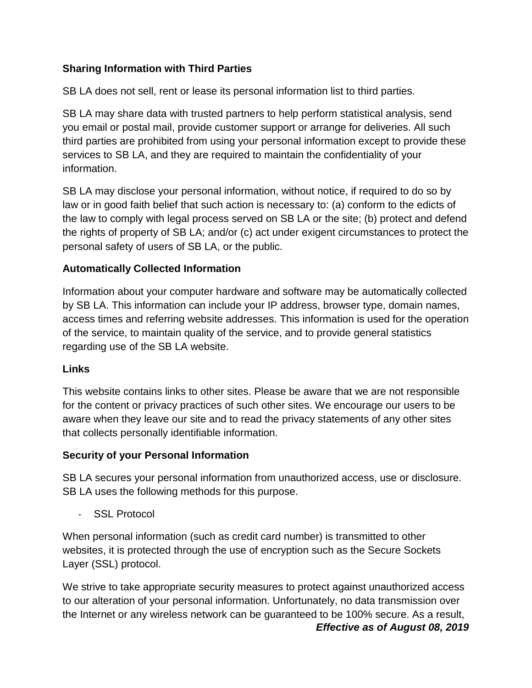## **Sharing Information with Third Parties**

SB LA does not sell, rent or lease its personal information list to third parties.

SB LA may share data with trusted partners to help perform statistical analysis, send you email or postal mail, provide customer support or arrange for deliveries. All such third parties are prohibited from using your personal information except to provide these services to SB LA, and they are required to maintain the confidentiality of your information.

SB LA may disclose your personal information, without notice, if required to do so by law or in good faith belief that such action is necessary to: (a) conform to the edicts of the law to comply with legal process served on SB LA or the site; (b) protect and defend the rights of property of SB LA; and/or (c) act under exigent circumstances to protect the personal safety of users of SB LA, or the public.

### **Automatically Collected Information**

Information about your computer hardware and software may be automatically collected by SB LA. This information can include your IP address, browser type, domain names, access times and referring website addresses. This information is used for the operation of the service, to maintain quality of the service, and to provide general statistics regarding use of the SB LA website.

#### **Links**

This website contains links to other sites. Please be aware that we are not responsible for the content or privacy practices of such other sites. We encourage our users to be aware when they leave our site and to read the privacy statements of any other sites that collects personally identifiable information.

## **Security of your Personal Information**

SB LA secures your personal information from unauthorized access, use or disclosure. SB LA uses the following methods for this purpose.

SSL Protocol

When personal information (such as credit card number) is transmitted to other websites, it is protected through the use of encryption such as the Secure Sockets Layer (SSL) protocol.

We strive to take appropriate security measures to protect against unauthorized access to our alteration of your personal information. Unfortunately, no data transmission over the Internet or any wireless network can be guaranteed to be 100% secure. As a result,

*Effective as of August 08, 2019*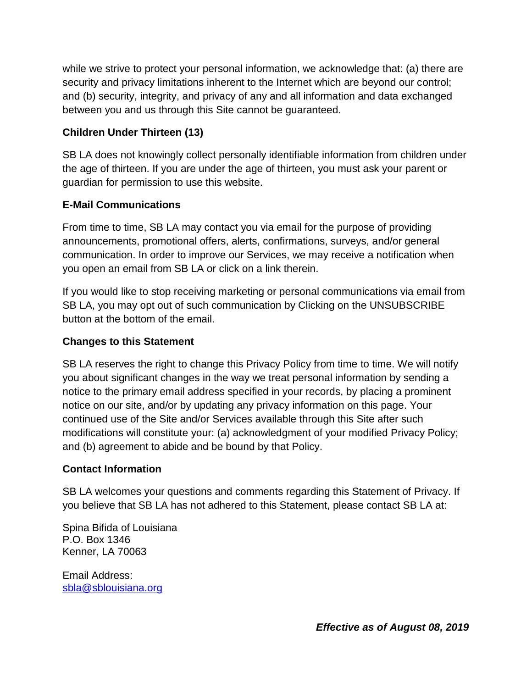while we strive to protect your personal information, we acknowledge that: (a) there are security and privacy limitations inherent to the Internet which are beyond our control; and (b) security, integrity, and privacy of any and all information and data exchanged between you and us through this Site cannot be guaranteed.

# **Children Under Thirteen (13)**

SB LA does not knowingly collect personally identifiable information from children under the age of thirteen. If you are under the age of thirteen, you must ask your parent or guardian for permission to use this website.

### **E-Mail Communications**

From time to time, SB LA may contact you via email for the purpose of providing announcements, promotional offers, alerts, confirmations, surveys, and/or general communication. In order to improve our Services, we may receive a notification when you open an email from SB LA or click on a link therein.

If you would like to stop receiving marketing or personal communications via email from SB LA, you may opt out of such communication by Clicking on the UNSUBSCRIBE button at the bottom of the email.

### **Changes to this Statement**

SB LA reserves the right to change this Privacy Policy from time to time. We will notify you about significant changes in the way we treat personal information by sending a notice to the primary email address specified in your records, by placing a prominent notice on our site, and/or by updating any privacy information on this page. Your continued use of the Site and/or Services available through this Site after such modifications will constitute your: (a) acknowledgment of your modified Privacy Policy; and (b) agreement to abide and be bound by that Policy.

#### **Contact Information**

SB LA welcomes your questions and comments regarding this Statement of Privacy. If you believe that SB LA has not adhered to this Statement, please contact SB LA at:

Spina Bifida of Louisiana P.O. Box 1346 Kenner, LA 70063

Email Address: [sbla@sblouisiana.org](mailto:sbla@sblouisiana.org)